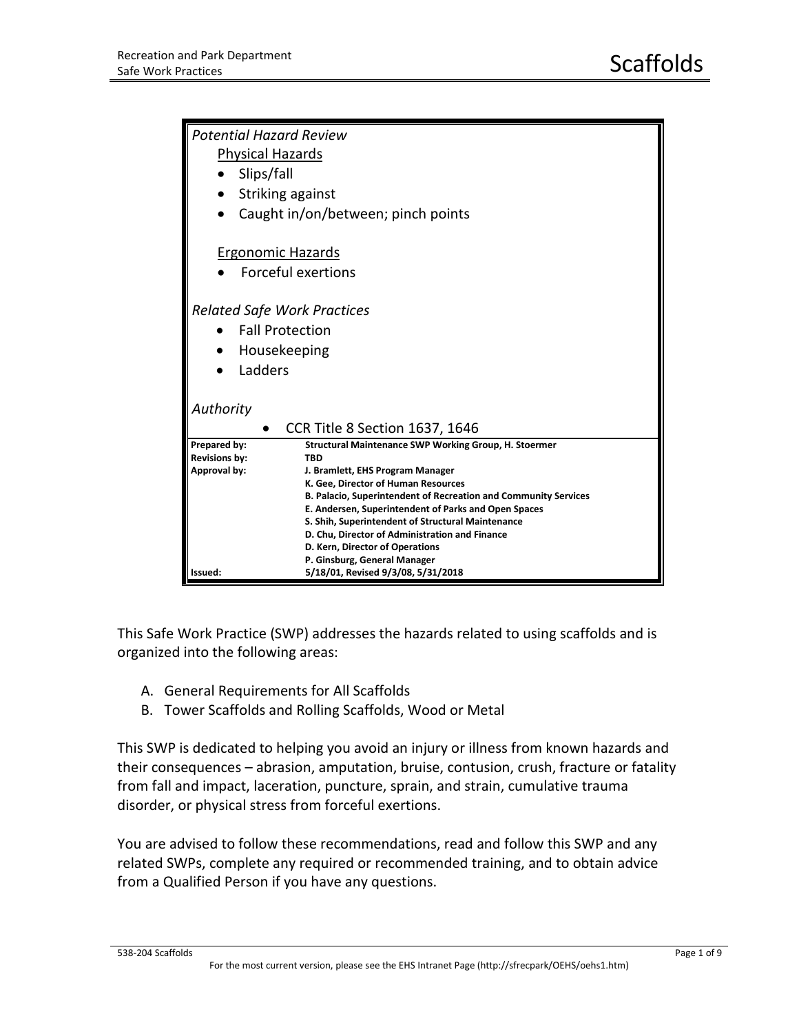| <b>Potential Hazard Review</b>                                        |  |  |  |
|-----------------------------------------------------------------------|--|--|--|
| <b>Physical Hazards</b>                                               |  |  |  |
| Slips/fall                                                            |  |  |  |
| Striking against<br>$\bullet$                                         |  |  |  |
| Caught in/on/between; pinch points                                    |  |  |  |
|                                                                       |  |  |  |
| <b>Ergonomic Hazards</b>                                              |  |  |  |
| Forceful exertions                                                    |  |  |  |
|                                                                       |  |  |  |
|                                                                       |  |  |  |
| <b>Related Safe Work Practices</b>                                    |  |  |  |
| <b>Fall Protection</b>                                                |  |  |  |
| Housekeeping                                                          |  |  |  |
| Ladders                                                               |  |  |  |
|                                                                       |  |  |  |
|                                                                       |  |  |  |
| Authority                                                             |  |  |  |
| <b>CCR Title 8 Section 1637, 1646</b>                                 |  |  |  |
| Structural Maintenance SWP Working Group, H. Stoermer<br>Prepared by: |  |  |  |
| <b>Revisions by:</b><br><b>TBD</b>                                    |  |  |  |
| Approval by:<br>J. Bramlett, EHS Program Manager                      |  |  |  |
| K. Gee, Director of Human Resources                                   |  |  |  |
| B. Palacio, Superintendent of Recreation and Community Services       |  |  |  |
| E. Andersen, Superintendent of Parks and Open Spaces                  |  |  |  |
| S. Shih, Superintendent of Structural Maintenance                     |  |  |  |
| D. Chu, Director of Administration and Finance                        |  |  |  |
| D. Kern, Director of Operations                                       |  |  |  |
| P. Ginsburg, General Manager                                          |  |  |  |
| 5/18/01, Revised 9/3/08, 5/31/2018<br>Issued:                         |  |  |  |

This Safe Work Practice (SWP) addresses the hazards related to using scaffolds and is organized into the following areas:

- A. General Requirements for All Scaffolds
- B. Tower Scaffolds and Rolling Scaffolds, Wood or Metal

This SWP is dedicated to helping you avoid an injury or illness from known hazards and their consequences – abrasion, amputation, bruise, contusion, crush, fracture or fatality from fall and impact, laceration, puncture, sprain, and strain, cumulative trauma disorder, or physical stress from forceful exertions.

You are advised to follow these recommendations, read and follow this SWP and any related SWPs, complete any required or recommended training, and to obtain advice from a Qualified Person if you have any questions.

## 538-204 Scaffolds Page 1 of 9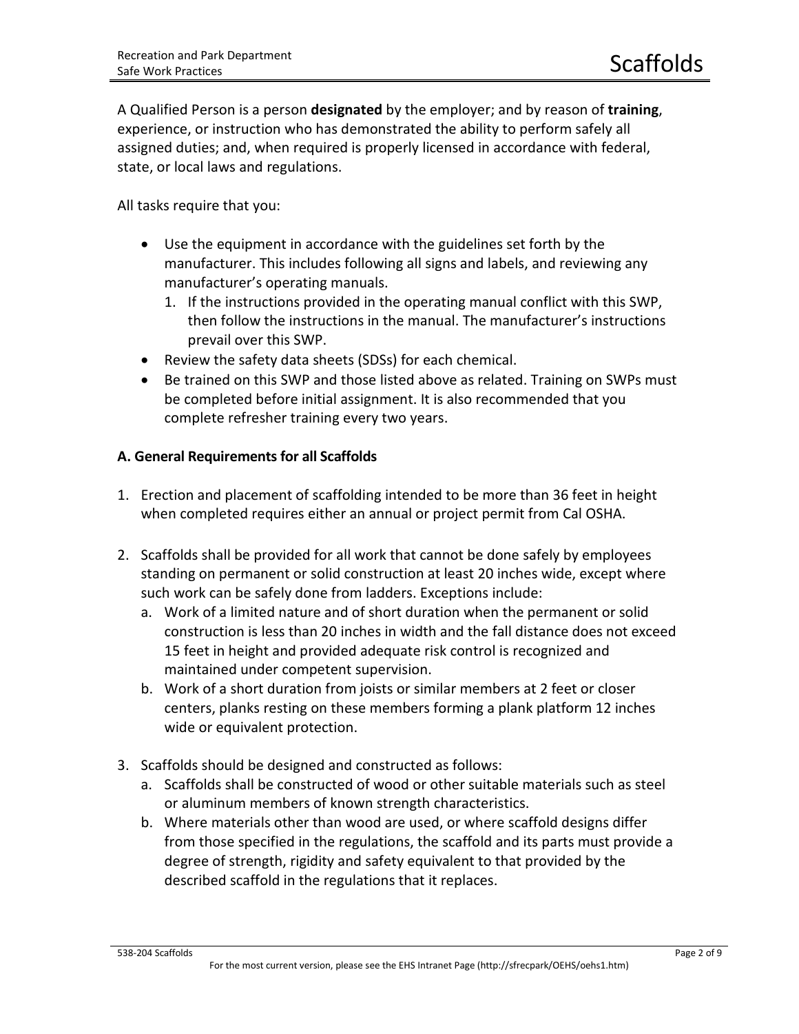A Qualified Person is a person **designated** by the employer; and by reason of **training**, experience, or instruction who has demonstrated the ability to perform safely all assigned duties; and, when required is properly licensed in accordance with federal, state, or local laws and regulations.

All tasks require that you:

- Use the equipment in accordance with the guidelines set forth by the manufacturer. This includes following all signs and labels, and reviewing any manufacturer's operating manuals.
	- 1. If the instructions provided in the operating manual conflict with this SWP, then follow the instructions in the manual. The manufacturer's instructions prevail over this SWP.
- Review the safety data sheets (SDSs) for each chemical.
- Be trained on this SWP and those listed above as related. Training on SWPs must be completed before initial assignment. It is also recommended that you complete refresher training every two years.

## **A. General Requirements for all Scaffolds**

- 1. Erection and placement of scaffolding intended to be more than 36 feet in height when completed requires either an annual or project permit from Cal OSHA.
- 2. Scaffolds shall be provided for all work that cannot be done safely by employees standing on permanent or solid construction at least 20 inches wide, except where such work can be safely done from ladders. Exceptions include:
	- a. Work of a limited nature and of short duration when the permanent or solid construction is less than 20 inches in width and the fall distance does not exceed 15 feet in height and provided adequate risk control is recognized and maintained under competent supervision.
	- b. Work of a short duration from joists or similar members at 2 feet or closer centers, planks resting on these members forming a plank platform 12 inches wide or equivalent protection.
- 3. Scaffolds should be designed and constructed as follows:
	- a. Scaffolds shall be constructed of wood or other suitable materials such as steel or aluminum members of known strength characteristics.
	- b. Where materials other than wood are used, or where scaffold designs differ from those specified in the regulations, the scaffold and its parts must provide a degree of strength, rigidity and safety equivalent to that provided by the described scaffold in the regulations that it replaces.

## 538-204 Scaffolds Page 2 of 9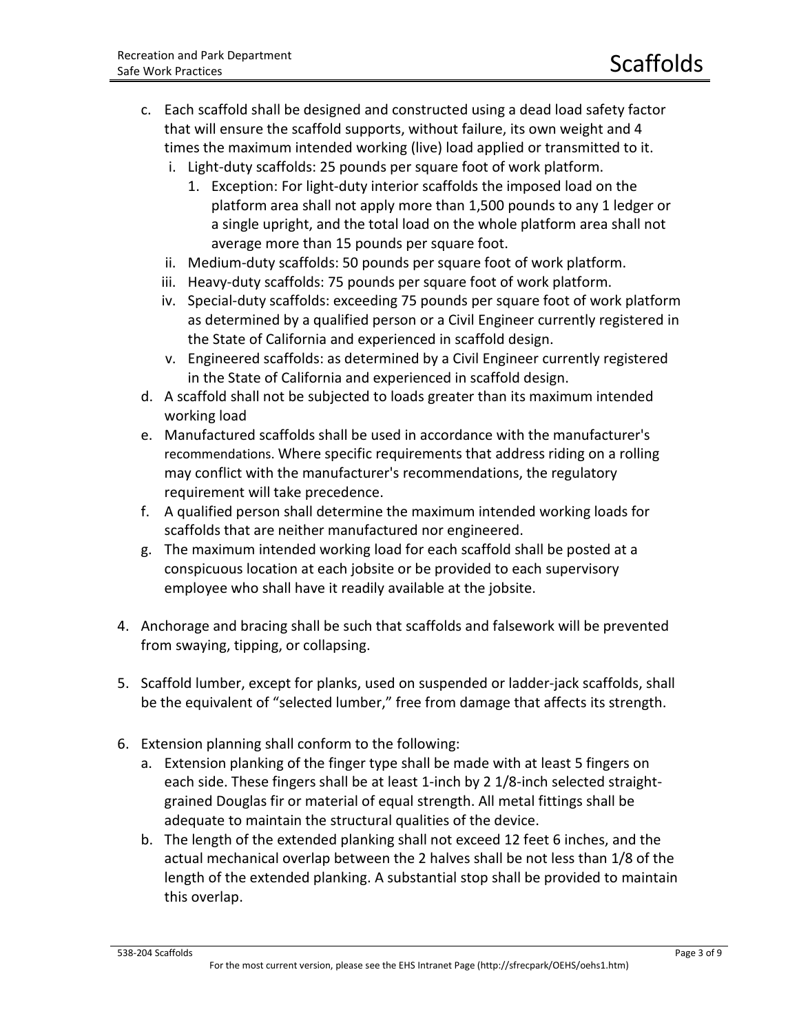- c. Each scaffold shall be designed and constructed using a dead load safety factor that will ensure the scaffold supports, without failure, its own weight and 4 times the maximum intended working (live) load applied or transmitted to it.
	- i. Light-duty scaffolds: 25 pounds per square foot of work platform.
		- 1. Exception: For light-duty interior scaffolds the imposed load on the platform area shall not apply more than 1,500 pounds to any 1 ledger or a single upright, and the total load on the whole platform area shall not average more than 15 pounds per square foot.
	- ii. Medium-duty scaffolds: 50 pounds per square foot of work platform.
	- iii. Heavy-duty scaffolds: 75 pounds per square foot of work platform.
	- iv. Special-duty scaffolds: exceeding 75 pounds per square foot of work platform as determined by a qualified person or a Civil Engineer currently registered in the State of California and experienced in scaffold design.
	- v. Engineered scaffolds: as determined by a Civil Engineer currently registered in the State of California and experienced in scaffold design.
- d. A scaffold shall not be subjected to loads greater than its maximum intended working load
- e. Manufactured scaffolds shall be used in accordance with the manufacturer's recommendations. Where specific requirements that address riding on a rolling may conflict with the manufacturer's recommendations, the regulatory requirement will take precedence.
- f. A qualified person shall determine the maximum intended working loads for scaffolds that are neither manufactured nor engineered.
- g. The maximum intended working load for each scaffold shall be posted at a conspicuous location at each jobsite or be provided to each supervisory employee who shall have it readily available at the jobsite.
- 4. Anchorage and bracing shall be such that scaffolds and falsework will be prevented from swaying, tipping, or collapsing.
- 5. Scaffold lumber, except for planks, used on suspended or ladder-jack scaffolds, shall be the equivalent of "selected lumber," free from damage that affects its strength.
- 6. Extension planning shall conform to the following:
	- a. Extension planking of the finger type shall be made with at least 5 fingers on each side. These fingers shall be at least 1-inch by 2 1/8-inch selected straightgrained Douglas fir or material of equal strength. All metal fittings shall be adequate to maintain the structural qualities of the device.
	- b. The length of the extended planking shall not exceed 12 feet 6 inches, and the actual mechanical overlap between the 2 halves shall be not less than 1/8 of the length of the extended planking. A substantial stop shall be provided to maintain this overlap.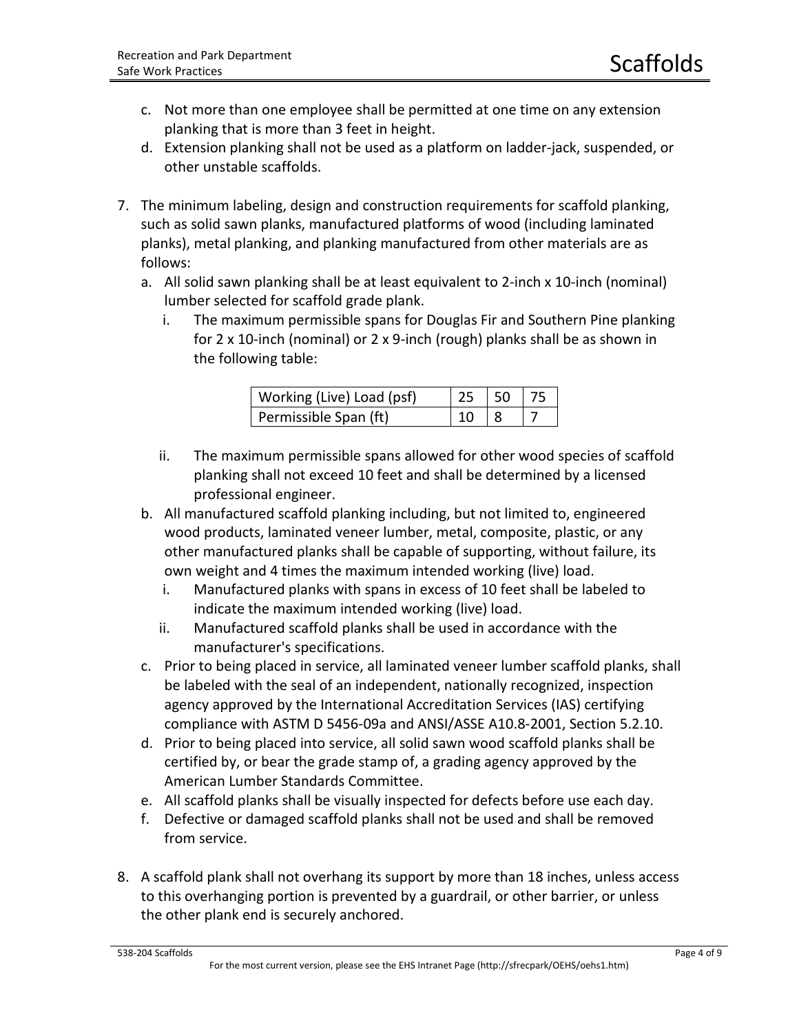- c. Not more than one employee shall be permitted at one time on any extension planking that is more than 3 feet in height.
- d. Extension planking shall not be used as a platform on ladder-jack, suspended, or other unstable scaffolds.
- 7. The minimum labeling, design and construction requirements for scaffold planking, such as solid sawn planks, manufactured platforms of wood (including laminated planks), metal planking, and planking manufactured from other materials are as follows:
	- a. All solid sawn planking shall be at least equivalent to 2-inch x 10-inch (nominal) lumber selected for scaffold grade plank.
		- i. The maximum permissible spans for Douglas Fir and Southern Pine planking for 2 x 10-inch (nominal) or 2 x 9-inch (rough) planks shall be as shown in the following table:

| Working (Live) Load (psf) | 25   50   75 |  |
|---------------------------|--------------|--|
| Permissible Span (ft)     | 10           |  |

- ii. The maximum permissible spans allowed for other wood species of scaffold planking shall not exceed 10 feet and shall be determined by a licensed professional engineer.
- b. All manufactured scaffold planking including, but not limited to, engineered wood products, laminated veneer lumber, metal, composite, plastic, or any other manufactured planks shall be capable of supporting, without failure, its own weight and 4 times the maximum intended working (live) load.
	- i. Manufactured planks with spans in excess of 10 feet shall be labeled to indicate the maximum intended working (live) load.
	- ii. Manufactured scaffold planks shall be used in accordance with the manufacturer's specifications.
- c. Prior to being placed in service, all laminated veneer lumber scaffold planks, shall be labeled with the seal of an independent, nationally recognized, inspection agency approved by the International Accreditation Services (IAS) certifying compliance with ASTM D 5456-09a and ANSI/ASSE A10.8-2001, Section 5.2.10.
- d. Prior to being placed into service, all solid sawn wood scaffold planks shall be certified by, or bear the grade stamp of, a grading agency approved by the American Lumber Standards Committee.
- e. All scaffold planks shall be visually inspected for defects before use each day.
- f. Defective or damaged scaffold planks shall not be used and shall be removed from service.
- 8. A scaffold plank shall not overhang its support by more than 18 inches, unless access to this overhanging portion is prevented by a guardrail, or other barrier, or unless the other plank end is securely anchored.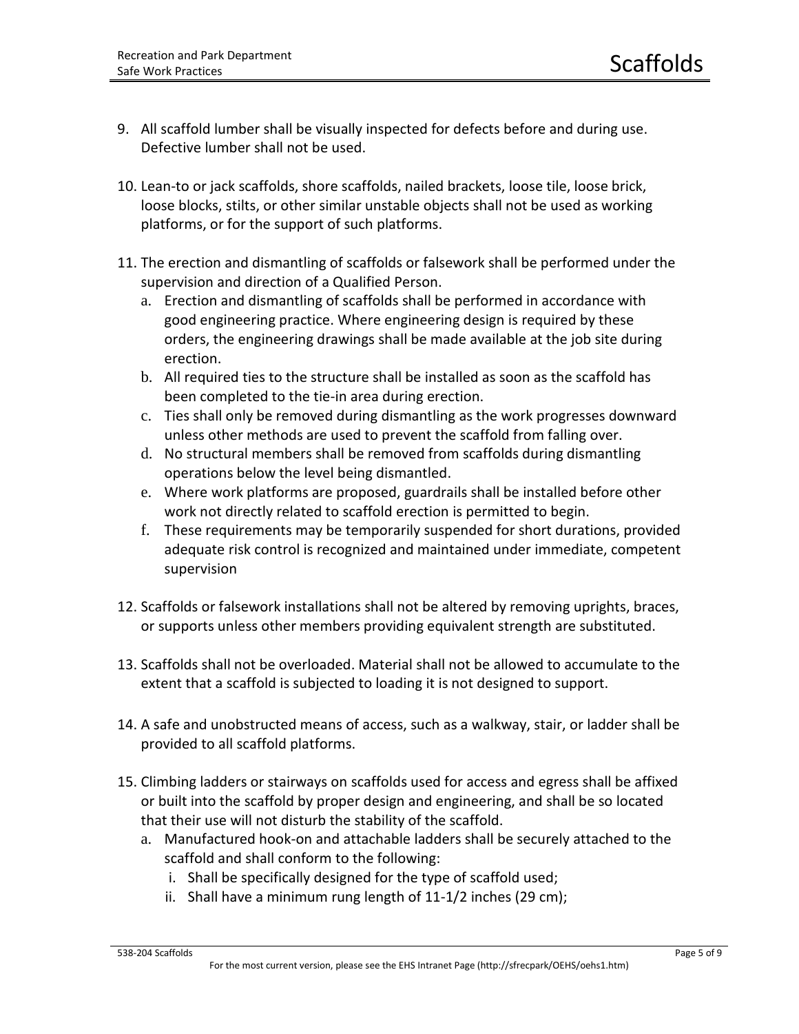- 9. All scaffold lumber shall be visually inspected for defects before and during use. Defective lumber shall not be used.
- 10. Lean-to or jack scaffolds, shore scaffolds, nailed brackets, loose tile, loose brick, loose blocks, stilts, or other similar unstable objects shall not be used as working platforms, or for the support of such platforms.
- 11. The erection and dismantling of scaffolds or falsework shall be performed under the supervision and direction of a Qualified Person.
	- a. Erection and dismantling of scaffolds shall be performed in accordance with good engineering practice. Where engineering design is required by these orders, the engineering drawings shall be made available at the job site during erection.
	- b. All required ties to the structure shall be installed as soon as the scaffold has been completed to the tie-in area during erection.
	- c. Ties shall only be removed during dismantling as the work progresses downward unless other methods are used to prevent the scaffold from falling over.
	- d. No structural members shall be removed from scaffolds during dismantling operations below the level being dismantled.
	- e. Where work platforms are proposed, guardrails shall be installed before other work not directly related to scaffold erection is permitted to begin.
	- f. These requirements may be temporarily suspended for short durations, provided adequate risk control is recognized and maintained under immediate, competent supervision
- 12. Scaffolds or falsework installations shall not be altered by removing uprights, braces, or supports unless other members providing equivalent strength are substituted.
- 13. Scaffolds shall not be overloaded. Material shall not be allowed to accumulate to the extent that a scaffold is subjected to loading it is not designed to support.
- 14. A safe and unobstructed means of access, such as a walkway, stair, or ladder shall be provided to all scaffold platforms.
- 15. Climbing ladders or stairways on scaffolds used for access and egress shall be affixed or built into the scaffold by proper design and engineering, and shall be so located that their use will not disturb the stability of the scaffold.
	- a. Manufactured hook-on and attachable ladders shall be securely attached to the scaffold and shall conform to the following:
		- i. Shall be specifically designed for the type of scaffold used;
		- ii. Shall have a minimum rung length of 11-1/2 inches (29 cm);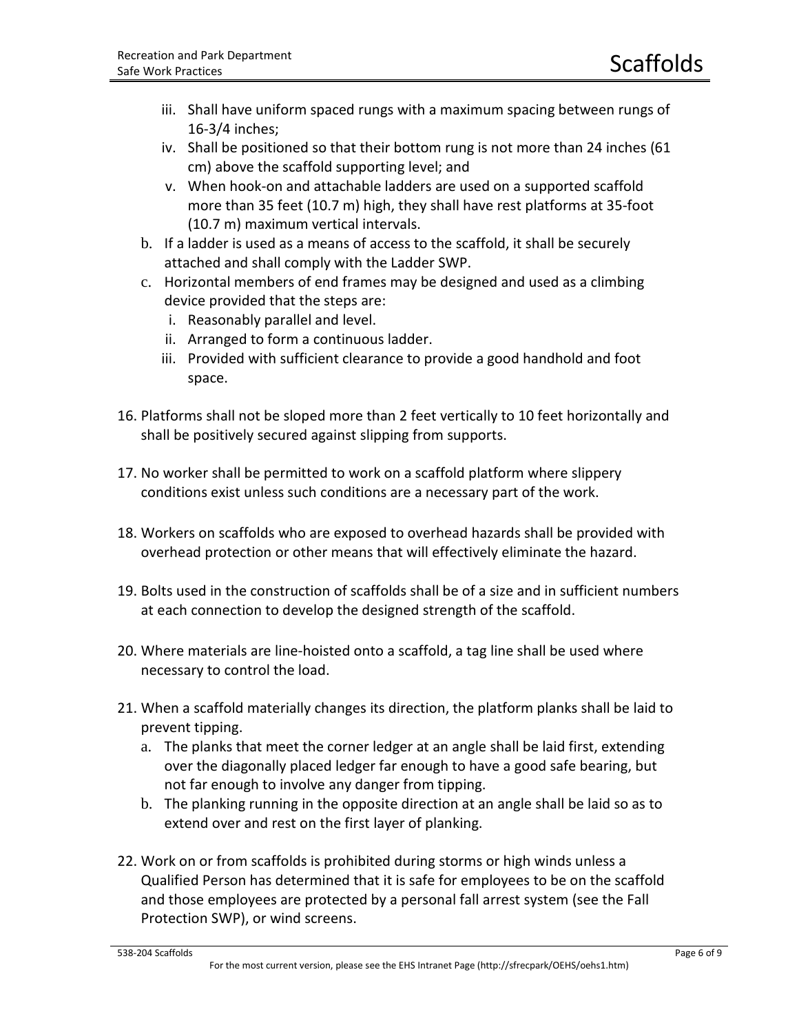- iii. Shall have uniform spaced rungs with a maximum spacing between rungs of 16-3/4 inches;
- iv. Shall be positioned so that their bottom rung is not more than 24 inches (61 cm) above the scaffold supporting level; and
- v. When hook-on and attachable ladders are used on a supported scaffold more than 35 feet (10.7 m) high, they shall have rest platforms at 35-foot (10.7 m) maximum vertical intervals.
- b. If a ladder is used as a means of access to the scaffold, it shall be securely attached and shall comply with the Ladder SWP.
- c. Horizontal members of end frames may be designed and used as a climbing device provided that the steps are:
	- i. Reasonably parallel and level.
	- ii. Arranged to form a continuous ladder.
	- iii. Provided with sufficient clearance to provide a good handhold and foot space.
- 16. Platforms shall not be sloped more than 2 feet vertically to 10 feet horizontally and shall be positively secured against slipping from supports.
- 17. No worker shall be permitted to work on a scaffold platform where slippery conditions exist unless such conditions are a necessary part of the work.
- 18. Workers on scaffolds who are exposed to overhead hazards shall be provided with overhead protection or other means that will effectively eliminate the hazard.
- 19. Bolts used in the construction of scaffolds shall be of a size and in sufficient numbers at each connection to develop the designed strength of the scaffold.
- 20. Where materials are line-hoisted onto a scaffold, a tag line shall be used where necessary to control the load.
- 21. When a scaffold materially changes its direction, the platform planks shall be laid to prevent tipping.
	- a. The planks that meet the corner ledger at an angle shall be laid first, extending over the diagonally placed ledger far enough to have a good safe bearing, but not far enough to involve any danger from tipping.
	- b. The planking running in the opposite direction at an angle shall be laid so as to extend over and rest on the first layer of planking.
- 22. Work on or from scaffolds is prohibited during storms or high winds unless a Qualified Person has determined that it is safe for employees to be on the scaffold and those employees are protected by a personal fall arrest system (see the Fall Protection SWP), or wind screens.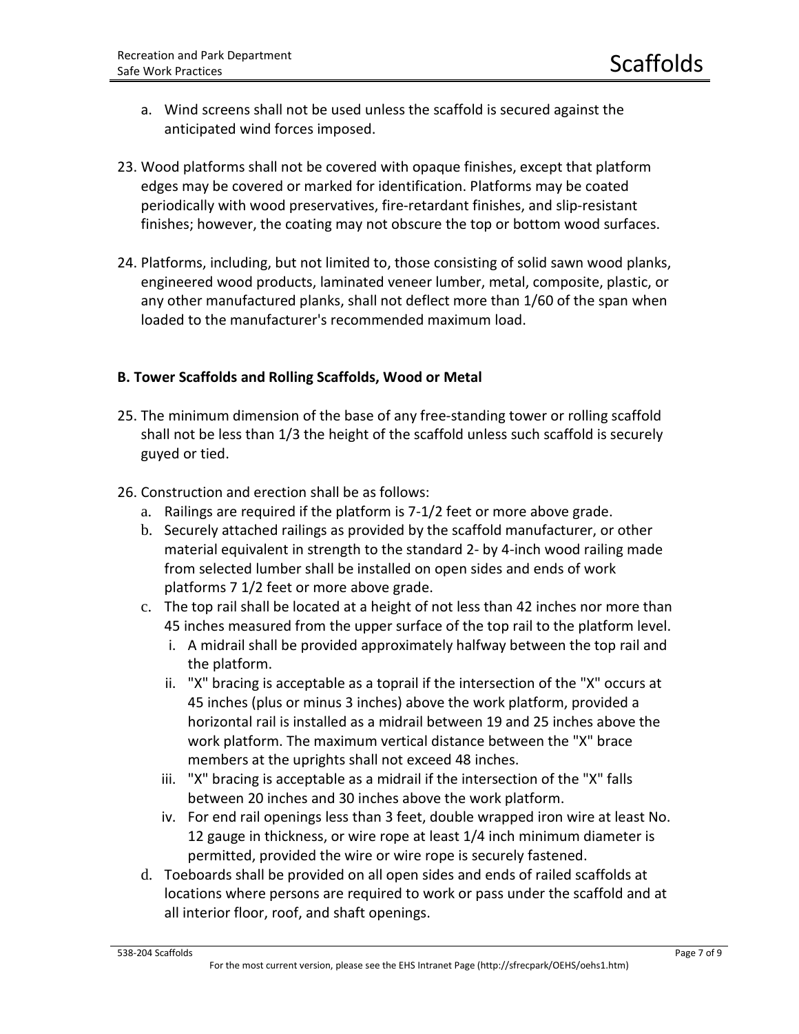- a. Wind screens shall not be used unless the scaffold is secured against the anticipated wind forces imposed.
- 23. Wood platforms shall not be covered with opaque finishes, except that platform edges may be covered or marked for identification. Platforms may be coated periodically with wood preservatives, fire-retardant finishes, and slip-resistant finishes; however, the coating may not obscure the top or bottom wood surfaces.
- 24. Platforms, including, but not limited to, those consisting of solid sawn wood planks, engineered wood products, laminated veneer lumber, metal, composite, plastic, or any other manufactured planks, shall not deflect more than 1/60 of the span when loaded to the manufacturer's recommended maximum load.

## **B. Tower Scaffolds and Rolling Scaffolds, Wood or Metal**

- 25. The minimum dimension of the base of any free-standing tower or rolling scaffold shall not be less than 1/3 the height of the scaffold unless such scaffold is securely guyed or tied.
- 26. Construction and erection shall be as follows:
	- a. Railings are required if the platform is 7-1/2 feet or more above grade.
	- b. Securely attached railings as provided by the scaffold manufacturer, or other material equivalent in strength to the standard 2- by 4-inch wood railing made from selected lumber shall be installed on open sides and ends of work platforms 7 1/2 feet or more above grade.
	- c. The top rail shall be located at a height of not less than 42 inches nor more than 45 inches measured from the upper surface of the top rail to the platform level.
		- i. A midrail shall be provided approximately halfway between the top rail and the platform.
		- ii. "X" bracing is acceptable as a toprail if the intersection of the "X" occurs at 45 inches (plus or minus 3 inches) above the work platform, provided a horizontal rail is installed as a midrail between 19 and 25 inches above the work platform. The maximum vertical distance between the "X" brace members at the uprights shall not exceed 48 inches.
		- iii. "X" bracing is acceptable as a midrail if the intersection of the "X" falls between 20 inches and 30 inches above the work platform.
		- iv. For end rail openings less than 3 feet, double wrapped iron wire at least No. 12 gauge in thickness, or wire rope at least 1/4 inch minimum diameter is permitted, provided the wire or wire rope is securely fastened.
	- d. Toeboards shall be provided on all open sides and ends of railed scaffolds at locations where persons are required to work or pass under the scaffold and at all interior floor, roof, and shaft openings.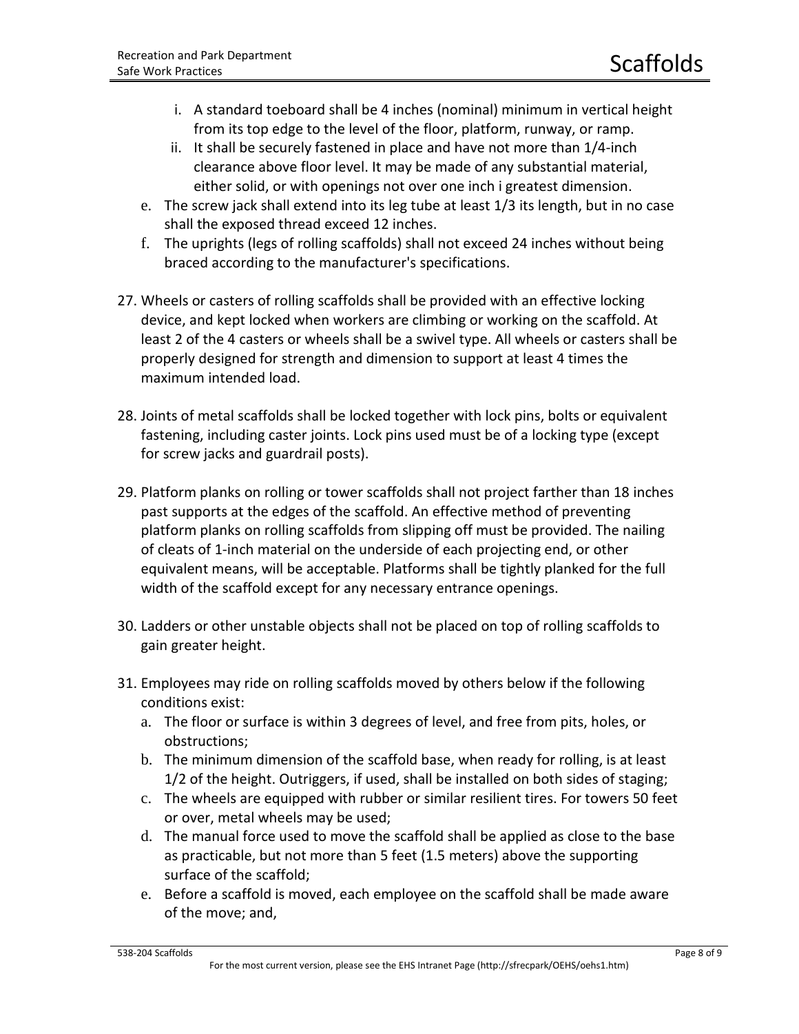- i. A standard toeboard shall be 4 inches (nominal) minimum in vertical height from its top edge to the level of the floor, platform, runway, or ramp.
- ii. It shall be securely fastened in place and have not more than 1/4-inch clearance above floor level. It may be made of any substantial material, either solid, or with openings not over one inch i greatest dimension.
- e. The screw jack shall extend into its leg tube at least 1/3 its length, but in no case shall the exposed thread exceed 12 inches.
- f. The uprights (legs of rolling scaffolds) shall not exceed 24 inches without being braced according to the manufacturer's specifications.
- 27. Wheels or casters of rolling scaffolds shall be provided with an effective locking device, and kept locked when workers are climbing or working on the scaffold. At least 2 of the 4 casters or wheels shall be a swivel type. All wheels or casters shall be properly designed for strength and dimension to support at least 4 times the maximum intended load.
- 28. Joints of metal scaffolds shall be locked together with lock pins, bolts or equivalent fastening, including caster joints. Lock pins used must be of a locking type (except for screw jacks and guardrail posts).
- 29. Platform planks on rolling or tower scaffolds shall not project farther than 18 inches past supports at the edges of the scaffold. An effective method of preventing platform planks on rolling scaffolds from slipping off must be provided. The nailing of cleats of 1-inch material on the underside of each projecting end, or other equivalent means, will be acceptable. Platforms shall be tightly planked for the full width of the scaffold except for any necessary entrance openings.
- 30. Ladders or other unstable objects shall not be placed on top of rolling scaffolds to gain greater height.
- 31. Employees may ride on rolling scaffolds moved by others below if the following conditions exist:
	- a. The floor or surface is within 3 degrees of level, and free from pits, holes, or obstructions;
	- b. The minimum dimension of the scaffold base, when ready for rolling, is at least 1/2 of the height. Outriggers, if used, shall be installed on both sides of staging;
	- c. The wheels are equipped with rubber or similar resilient tires. For towers 50 feet or over, metal wheels may be used;
	- d. The manual force used to move the scaffold shall be applied as close to the base as practicable, but not more than 5 feet (1.5 meters) above the supporting surface of the scaffold;
	- e. Before a scaffold is moved, each employee on the scaffold shall be made aware of the move; and,